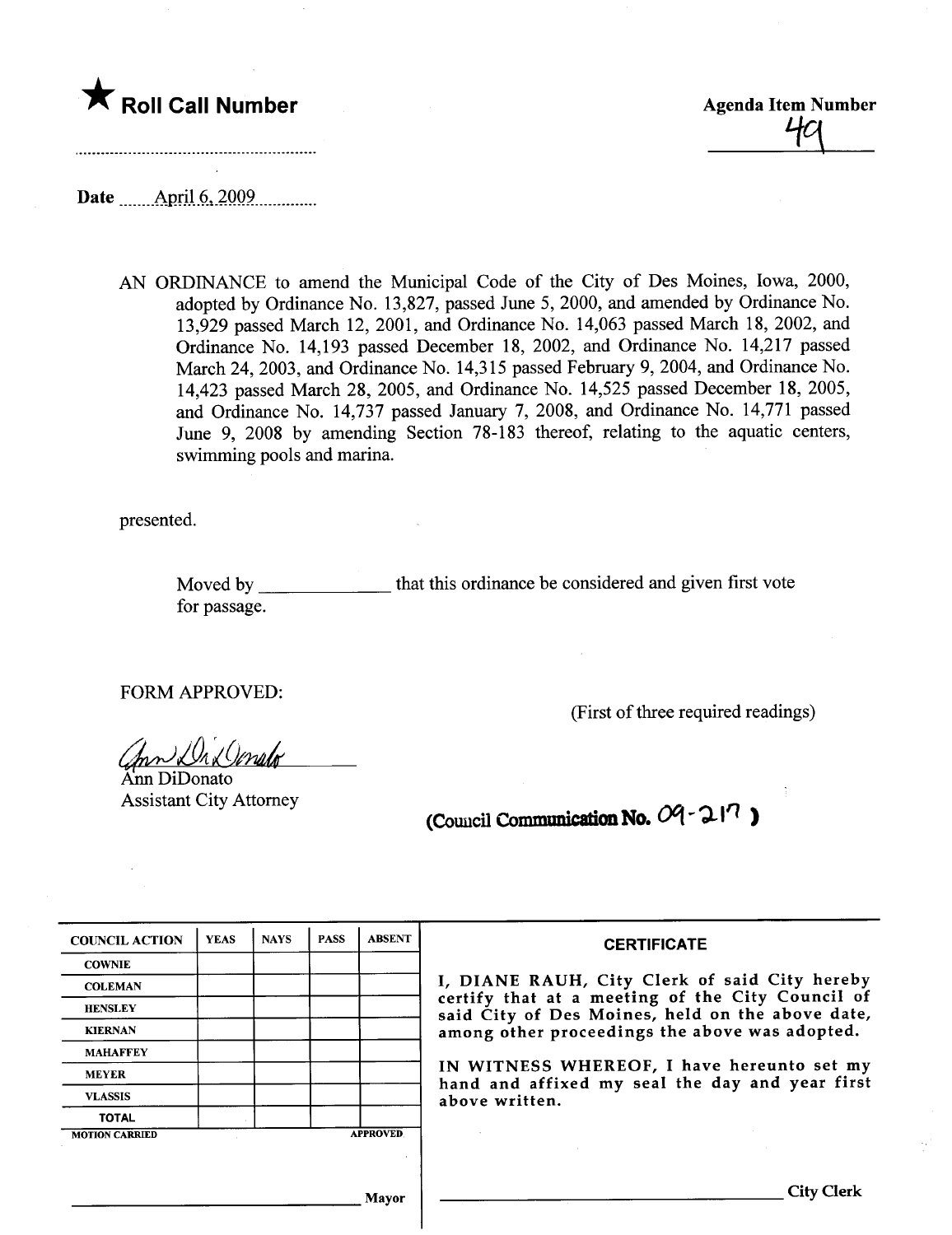

49

Date April 6, 2009

AN ORDINANCE to amend the Municipal Code of the City of Des Moines, Iowa, 2000, adopted by Ordinance No. 13,827, passed June 5, 2000, and amended by Ordinance No. 13,929 passed March 12, 2001, and Ordinance No. 14,063 passed March 18, 2002, and Ordinance No. 14,193 passed December 18, 2002, and Ordinance No. 14,217 passed March 24, 2003, and Ordinance No. 14,315 passed February 9, 2004, and Ordinance No. 14,423 passed March 28, 2005, and Ordinance No. 14,525 passed December 18, 2005, and Ordinance No. 14,737 passed January 7, 2008, and Ordinance No. 14,771 passed June 9, 2008 by amending Section 78-183 thereof, relating to the aquatic centers, swimming pools and marina.

presented.

Moved by **Example 20** for passage. that this ordinance be considered and given first vote

FORM APPROVED:

 $^{\prime}$  $\Omega$ nato $^{\prime}$ 

Ann DiDonato Assistant City Attorney

(First of three required readings)

(Council Communication No.  $09 - 21$ 

| <b>COUNCIL ACTION</b> | <b>YEAS</b> | <b>NAYS</b>                                    | <b>PASS</b> | <b>ABSENT</b>   | <b>CERTIFICATE</b>                                                                                                                                    |  |  |  |  |  |
|-----------------------|-------------|------------------------------------------------|-------------|-----------------|-------------------------------------------------------------------------------------------------------------------------------------------------------|--|--|--|--|--|
| <b>COWNIE</b>         |             |                                                |             |                 |                                                                                                                                                       |  |  |  |  |  |
| <b>COLEMAN</b>        |             |                                                |             |                 | I, DIANE RAUH, City Clerk of said City hereby<br>certify that at a meeting of the City Council of<br>said City of Des Moines, held on the above date, |  |  |  |  |  |
| <b>HENSLEY</b>        |             |                                                |             |                 |                                                                                                                                                       |  |  |  |  |  |
| <b>KIERNAN</b>        |             | among other proceedings the above was adopted. |             |                 |                                                                                                                                                       |  |  |  |  |  |
| <b>MAHAFFEY</b>       |             |                                                |             |                 |                                                                                                                                                       |  |  |  |  |  |
| <b>MEYER</b>          |             |                                                |             |                 | IN WITNESS WHEREOF, I have hereunto set my<br>hand and affixed my seal the day and year first                                                         |  |  |  |  |  |
| <b>VLASSIS</b>        |             |                                                |             |                 | above written.                                                                                                                                        |  |  |  |  |  |
| <b>TOTAL</b>          |             |                                                |             |                 |                                                                                                                                                       |  |  |  |  |  |
| <b>MOTION CARRIED</b> |             |                                                |             | <b>APPROVED</b> |                                                                                                                                                       |  |  |  |  |  |
|                       |             |                                                |             |                 |                                                                                                                                                       |  |  |  |  |  |
|                       |             |                                                |             | <b>Mayor</b>    | City Clerk                                                                                                                                            |  |  |  |  |  |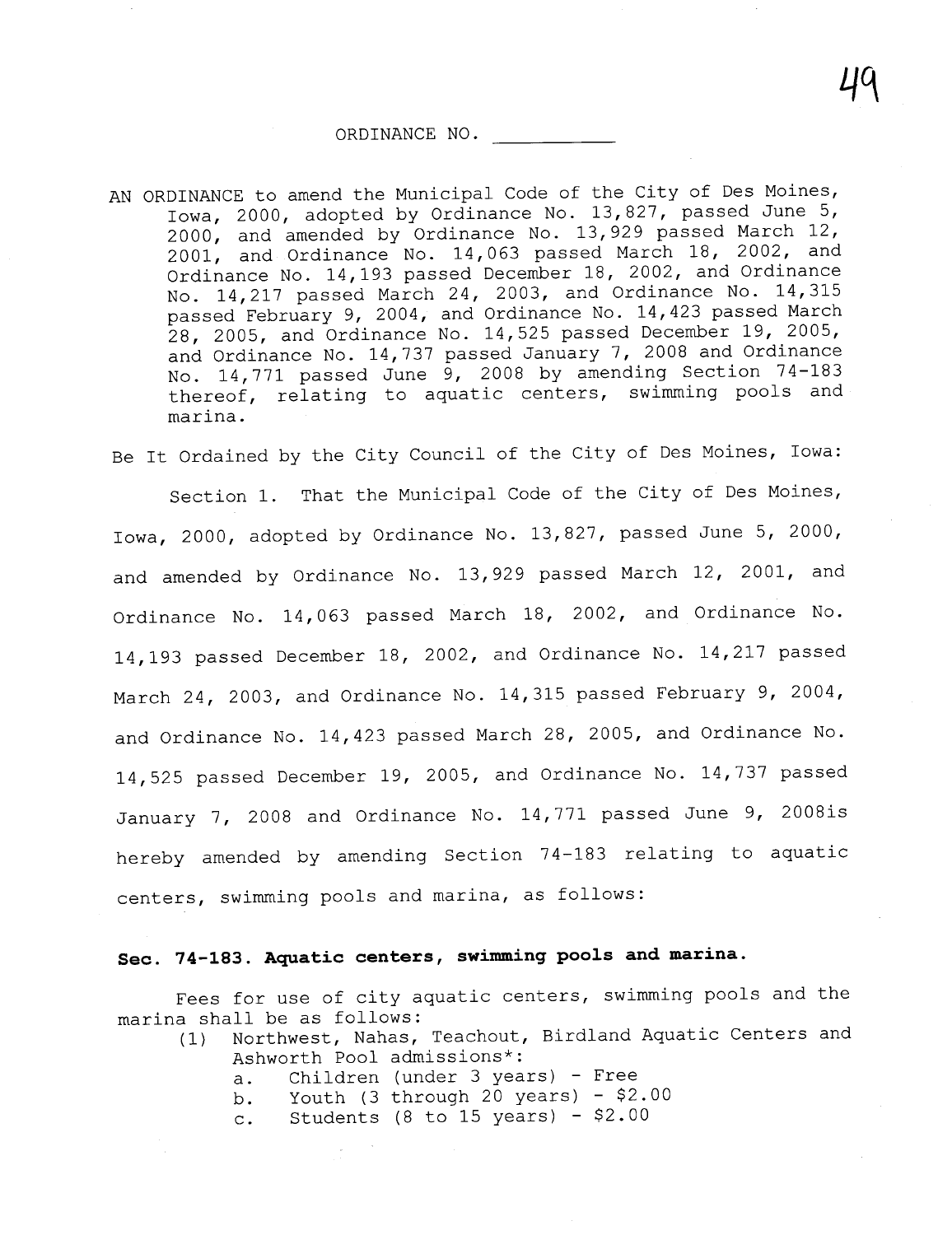## ORDINANCE NO.

AN ORDINANCE to amend the Municipal Code of the City of Des Moines, Iowa, 2000, adopted by Ordinance No. 13,827, passed June 5, 2000, and amended by Ordinance No. 13,929 passed March 12, 2001, and Ordinance No. 14,063 passed March 18, 2002, and Ordinance No. 14,193 passed December 18, 2002, and Ordinance No. 14,217 passed March 24, 2003, and Ordinance No. 14,315 passed February 9, 2004, and Ordinance No. 14,423 passed March 28, 2005, and Ordinance No. 14,525 passed December 19, 2005, and Ordinance No. 14, 737 passed January 7, 2008 and Ordinance No. 14,771 passed June 9, 2008 by amending Section 74-183 thereof, relating to aquatic centers, swimming pools and marina.

Be It Ordained by the City Council of the City of Des Moines, Iowa: Section 1. That the Municipal Code of the City of Des Moines, Iowa, 2000, adopted by Ordinance No. 13,827, passed June 5, 2000, and amended by Ordinance No. 13,929 passed March 12, 2001, and Ordinance No. 14,063 passed March 18, 2002, and Ordinance No. 14,193 passed December 18, 2002, and Ordinance No. 14,217 passed March 24, 2003, and Ordinance No. 14,315 passed February 9, 2004, and Ordinance No. 14,423 passed March 28, 2005, and Ordinance No. 14,525 passed December 19, 2005, and Ordinance No. 14,737 passed January 7, 2008 and Ordinance No. 14,771 passed June 9, 2008is hereby amended by amending Section 74-183 relating to aquatic centers, swimming pools and marina, as follows:

## Sec. 74-183. Aquatic centers, swimming pools and marina.

Fees for use of city aquatic centers, swimming pools and the marina shall be as follows:

- (1) Northwest, Nahas, Teachout, Birdland Aquatic Centers and Ashworth Pool admissions\*:
	- a. Children (under 3 years) Free
	- b. Youth (3 through 20 years) \$2.00
	- c. Students (8 to 15 years) \$2.00